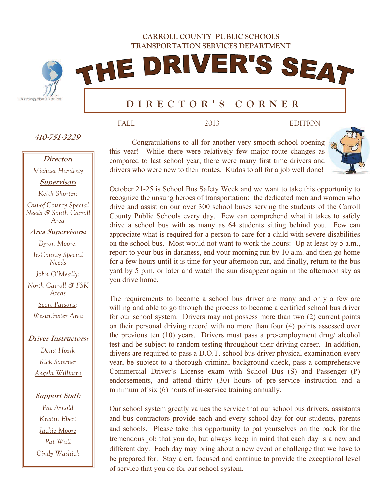**CARROLL COUNTY PUBLIC SCHOOLS TRANSPORTATION SERVICES DEPARTMENT** 

THE DRIVER'S SEAT



# **DIRECTOR'S CORNER**

**410-751-3229** 

# **Director:**

*Michael Hardesty* 

**Supervisor:** 

*Keith Shorter:* 

*Out-of-County Special Needs & South Carroll Area* 

**Area Supervisors:** 

*Byron Moore:* 

*In-County Special Needs* 

*John O'Meally:* 

*North Carroll & FSK Areas Scott Parsons:* 

*Westminster Area* 

## **Driver Instructors:**

*Dena Hozik Rick Sommer Angela Williams* 

#### **Support Staff:**

*Pat Arnold Kristin Ebert Jackie Moore Pat Wall Cindy Washick* 

Congratulations to all for another very smooth school opening this year! While there were relatively few major route changes as compared to last school year, there were many first time drivers and drivers who were new to their routes. Kudos to all for a job well done!

FALL 2013 EDITION



October 21-25 is School Bus Safety Week and we want to take this opportunity to recognize the unsung heroes of transportation: the dedicated men and women who drive and assist on our over 300 school buses serving the students of the Carroll County Public Schools every day. Few can comprehend what it takes to safely drive a school bus with as many as 64 students sitting behind you. Few can appreciate what is required for a person to care for a child with severe disabilities on the school bus. Most would not want to work the hours: Up at least by 5 a.m., report to your bus in darkness, end your morning run by 10 a.m. and then go home for a few hours until it is time for your afternoon run, and finally, return to the bus yard by 5 p.m. or later and watch the sun disappear again in the afternoon sky as you drive home.

The requirements to become a school bus driver are many and only a few are willing and able to go through the process to become a certified school bus driver for our school system. Drivers may not possess more than two (2) current points on their personal driving record with no more than four (4) points assessed over the previous ten (10) years. Drivers must pass a pre-employment drug/ alcohol test and be subject to random testing throughout their driving career. In addition, drivers are required to pass a D.O.T. school bus driver physical examination every year, be subject to a thorough criminal background check, pass a comprehensive Commercial Driver's License exam with School Bus (S) and Passenger (P) endorsements, and attend thirty (30) hours of pre-service instruction and a minimum of six (6) hours of in-service training annually.

Our school system greatly values the service that our school bus drivers, assistants and bus contractors provide each and every school day for our students, parents and schools. Please take this opportunity to pat yourselves on the back for the tremendous job that you do, but always keep in mind that each day is a new and different day. Each day may bring about a new event or challenge that we have to be prepared for. Stay alert, focused and continue to provide the exceptional level of service that you do for our school system.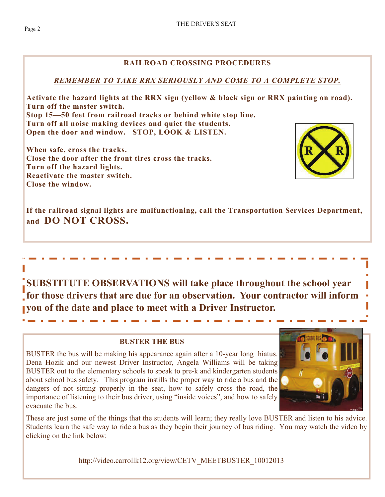## **RAILROAD CROSSING PROCEDURES**

## *REMEMBER TO TAKE RRX SERIOUSLY AND COME TO A COMPLETE STOP.*

**Activate the hazard lights at the RRX sign (yellow & black sign or RRX painting on road). Turn off the master switch. Stop 15—50 feet from railroad tracks or behind white stop line. Turn off all noise making devices and quiet the students. Open the door and window. STOP, LOOK & LISTEN.** 

**When safe, cross the tracks. Close the door after the front tires cross the tracks. Turn off the hazard lights. Reactivate the master switch. Close the window.** 



**If the railroad signal lights are malfunctioning, call the Transportation Services Department, and DO NOT CROSS.** 

**SUBSTITUTE OBSERVATIONS will take place throughout the school year for those drivers that are due for an observation. Your contractor will inform you of the date and place to meet with a Driver Instructor.** 

## **BUSTER THE BUS**

BUSTER the bus will be making his appearance again after a 10-year long hiatus. Dena Hozik and our newest Driver Instructor, Angela Williams will be taking BUSTER out to the elementary schools to speak to pre-k and kindergarten students about school bus safety. This program instills the proper way to ride a bus and the dangers of not sitting properly in the seat, how to safely cross the road, the importance of listening to their bus driver, using "inside voices", and how to safely evacuate the bus.



These are just some of the things that the students will learn; they really love BUSTER and listen to his advice. Students learn the safe way to ride a bus as they begin their journey of bus riding. You may watch the video by clicking on the link below:

[http://video.carrollk12.org/view/CETV\\_MEETBUSTER\\_10012013](http://video.carrollk12.org/view/CETV_MEETBUSTER_10012013)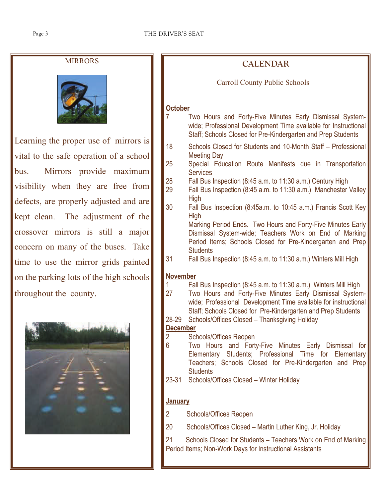#### THE DRIVER'S SEAT

## MIRRORS



Learning the proper use of mirrors is vital to the safe operation of a school bus. Mirrors provide maximum visibility when they are free from defects, are properly adjusted and are kept clean. The adjustment of the crossover mirrors is still a major concern on many of the buses. Take time to use the mirror grids painted on the parking lots of the high schools throughout the county.



| <b>CALENDAR</b>                            |                                                                                                                                                                                                                                                                |  |  |  |  |  |  |  |
|--------------------------------------------|----------------------------------------------------------------------------------------------------------------------------------------------------------------------------------------------------------------------------------------------------------------|--|--|--|--|--|--|--|
| <b>Carroll County Public Schools</b>       |                                                                                                                                                                                                                                                                |  |  |  |  |  |  |  |
|                                            |                                                                                                                                                                                                                                                                |  |  |  |  |  |  |  |
| October                                    | Two Hours and Forty-Five Minutes Early Dismissal System-<br>wide; Professional Development Time available for Instructional<br>Staff; Schools Closed for Pre-Kindergarten and Prep Students                                                                    |  |  |  |  |  |  |  |
| 18                                         | Schools Closed for Students and 10-Month Staff - Professional                                                                                                                                                                                                  |  |  |  |  |  |  |  |
| 25                                         | <b>Meeting Day</b><br>Special Education Route Manifests due in Transportation<br><b>Services</b>                                                                                                                                                               |  |  |  |  |  |  |  |
| 28<br>29                                   | Fall Bus Inspection (8:45 a.m. to 11:30 a.m.) Century High<br>Fall Bus Inspection (8:45 a.m. to 11:30 a.m.) Manchester Valley<br>High                                                                                                                          |  |  |  |  |  |  |  |
| 30                                         | Fall Bus Inspection (8:45a.m. to 10:45 a.m.) Francis Scott Key<br>High                                                                                                                                                                                         |  |  |  |  |  |  |  |
|                                            | Marking Period Ends. Two Hours and Forty-Five Minutes Early<br>Dismissal System-wide; Teachers Work on End of Marking<br>Period Items; Schools Closed for Pre-Kindergarten and Prep<br><b>Students</b>                                                         |  |  |  |  |  |  |  |
| 31                                         | Fall Bus Inspection (8:45 a.m. to 11:30 a.m.) Winters Mill High                                                                                                                                                                                                |  |  |  |  |  |  |  |
| <b>November</b>                            |                                                                                                                                                                                                                                                                |  |  |  |  |  |  |  |
| 1<br>27                                    | Fall Bus Inspection (8:45 a.m. to 11:30 a.m.) Winters Mill High<br>Two Hours and Forty-Five Minutes Early Dismissal System-<br>wide; Professional Development Time available for instructional<br>Staff; Schools Closed for Pre-Kindergarten and Prep Students |  |  |  |  |  |  |  |
| 28-29                                      | Schools/Offices Closed - Thanksgiving Holiday                                                                                                                                                                                                                  |  |  |  |  |  |  |  |
| <b>December</b><br>$\overline{\mathbf{c}}$ | <b>Schools/Offices Reopen</b>                                                                                                                                                                                                                                  |  |  |  |  |  |  |  |
| $\overline{6}$                             | Hours and Forty-Five Minutes Early Dismissal<br>Two<br>for<br>Elementary Students; Professional Time for Elementary<br>Teachers; Schools Closed for Pre-Kindergarten and Prep<br><b>Students</b>                                                               |  |  |  |  |  |  |  |
| $23 - 31$                                  | Schools/Offices Closed - Winter Holiday                                                                                                                                                                                                                        |  |  |  |  |  |  |  |
| <b>January</b>                             |                                                                                                                                                                                                                                                                |  |  |  |  |  |  |  |
| $\overline{2}$                             | <b>Schools/Offices Reopen</b>                                                                                                                                                                                                                                  |  |  |  |  |  |  |  |
| 20                                         | Schools/Offices Closed – Martin Luther King, Jr. Holiday                                                                                                                                                                                                       |  |  |  |  |  |  |  |
| 21                                         | Schools Closed for Students - Teachers Work on End of Marking<br>Period Items; Non-Work Days for Instructional Assistants                                                                                                                                      |  |  |  |  |  |  |  |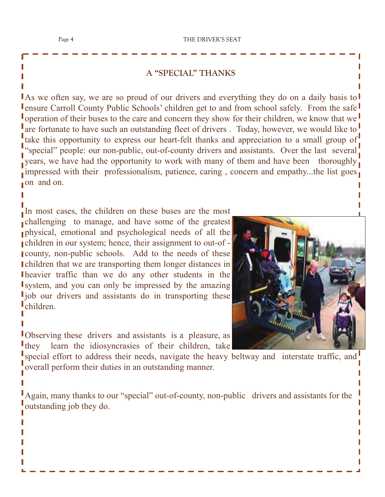## **A "SPECIAL" THANKS**

As we often say, we are so proud of our drivers and everything they do on a daily basis to **Lensure Carroll County Public Schools' children get to and from school safely. From the safe** operation of their buses to the care and concern they show for their children, we know that we are fortunate to have such an outstanding fleet of drivers. Today, however, we would like to take this opportunity to express our heart-felt thanks and appreciation to a small group of "special" people: our non-public, out-of-county drivers and assistants. Over the last several. years, we have had the opportunity to work with many of them and have been thoroughly impressed with their professionalism, patience, caring, concern and empathy...the list goes. on and on.

In most cases, the children on these buses are the most challenging to manage, and have some of the greatest physical, emotional and psychological needs of all the children in our system; hence, their assignment to out-of county, non-public schools. Add to the needs of these children that we are transporting them longer distances in heavier traffic than we do any other students in the system, and you can only be impressed by the amazing I job our drivers and assistants do in transporting these children.

Observing these drivers and assistants is a pleasure, as I they learn the idiosyncrasies of their children, take

special effort to address their needs, navigate the heavy beltway and interstate traffic, and overall perform their duties in an outstanding manner.

Again, many thanks to our "special" out-of-county, non-public drivers and assistants for the outstanding job they do.

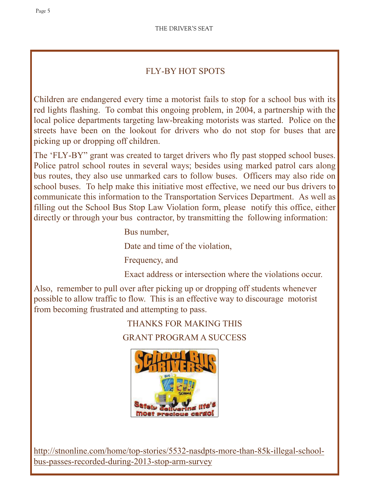## FLY-BY HOT SPOTS

Children are endangered every time a motorist fails to stop for a school bus with its red lights flashing. To combat this ongoing problem, in 2004, a partnership with the local police departments targeting law-breaking motorists was started. Police on the streets have been on the lookout for drivers who do not stop for buses that are picking up or dropping off children.

The 'FLY-BY" grant was created to target drivers who fly past stopped school buses. Police patrol school routes in several ways; besides using marked patrol cars along bus routes, they also use unmarked cars to follow buses. Officers may also ride on school buses. To help make this initiative most effective, we need our bus drivers to communicate this information to the Transportation Services Department. As well as filling out the School Bus Stop Law Violation form, please notify this office, either directly or through your bus contractor, by transmitting the following information:

Bus number,

Date and time of the violation,

Frequency, and

Exact address or intersection where the violations occur.

Also, remember to pull over after picking up or dropping off students whenever possible to allow traffic to flow. This is an effective way to discourage motorist from becoming frustrated and attempting to pass.

THANKS FOR MAKING THIS

GRANT PROGRAM A SUCCESS



 [http://stnonline.com/home/top-stories/5532-nasdpts-more-than-85k-illegal-school](http://stnonline.com/home/top-stories/5532-nasdpts-more-than-85k-illegal-school-bus-passes-recorded-during-2013-stop-arm-survey)[bus-passes-recorded-during-2013-stop-arm-survey](http://stnonline.com/home/top-stories/5532-nasdpts-more-than-85k-illegal-school-bus-passes-recorded-during-2013-stop-arm-survey)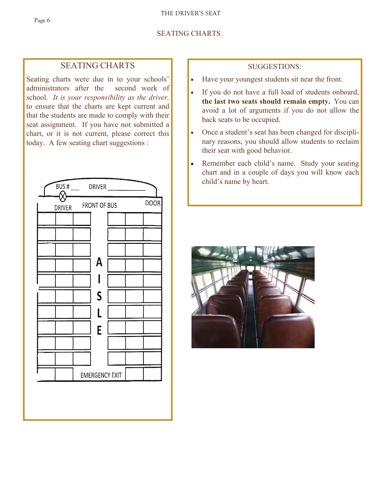## SEATING CHARTS

## SEATING CHARTS

Seating charts were due in to your schools' administrators after the second week of school. *It is your responsibility as the driver,*  to ensure that the charts are kept current and that the students are made to comply with their seat assignment. If you have not submitted a chart, or it is not current, please correct this today. A few seating chart suggestions :



## SUGGESTIONS:

- Have your youngest students sit near the front.
- If you do not have a full load of students onboard, **the last two seats should remain empty.** You can avoid a lot of arguments if you do not allow the back seats to be occupied.
- Once a student's seat has been changed for disciplinary reasons, you should allow students to reclaim their seat with good behavior.
- Remember each child's name. Study your seating chart and in a couple of days you will know each child's name by heart.

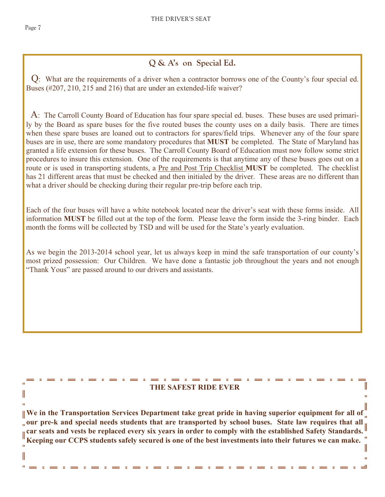I ń

II

 $\mathbf{u}$ 

# **Q & A's on Special Ed.**

 Q: What are the requirements of a driver when a contractor borrows one of the County's four special ed. Buses (#207, 210, 215 and 216) that are under an extended-life waiver?

 A: The Carroll County Board of Education has four spare special ed. buses. These buses are used primarily by the Board as spare buses for the five routed buses the county uses on a daily basis. There are times when these spare buses are loaned out to contractors for spares/field trips. Whenever any of the four spare buses are in use, there are some mandatory procedures that **MUST** be completed. The State of Maryland has granted a life extension for these buses. The Carroll County Board of Education must now follow some strict procedures to insure this extension. One of the requirements is that anytime any of these buses goes out on a route or is used in transporting students, a Pre and Post Trip Checklist **MUST** be completed. The checklist has 21 different areas that must be checked and then initialed by the driver. These areas are no different than what a driver should be checking during their regular pre-trip before each trip.

Each of the four buses will have a white notebook located near the driver's seat with these forms inside. All information **MUST** be filled out at the top of the form. Please leave the form inside the 3-ring binder. Each month the forms will be collected by TSD and will be used for the State's yearly evaluation.

As we begin the 2013-2014 school year, let us always keep in mind the safe transportation of our county's most prized possession: Our Children. We have done a fantastic job throughout the years and not enough "Thank Yous" are passed around to our drivers and assistants.

## **THE SAFEST RIDE EVER**

**We in the Transportation Services Department take great pride in having superior equipment for all of our pre-k and special needs students that are transported by school buses. State law requires that all car seats and vests be replaced every six years in order to comply with the established Safety Standards. Keeping our CCPS students safely secured is one of the best investments into their futures we can make.** Ш

'n.

ᆜ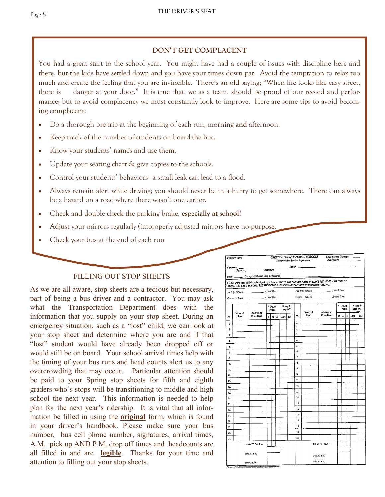## **DON'T GET COMPLACENT**

You had a great start to the school year. You might have had a couple of issues with discipline here and there, but the kids have settled down and you have your times down pat. Avoid the temptation to relax too much and create the feeling that you are invincible. There's an old saying; "When life looks like easy street, there is danger at your door." It is true that, we as a team, should be proud of our record and performance; but to avoid complacency we must constantly look to improve. Here are some tips to avoid becoming complacent:

- Do a thorough pre-trip at the beginning of each run, morning **and** afternoon.
- Keep track of the number of students on board the bus.
- Know your students' names and use them.
- Update your seating chart & give copies to the schools.
- Control your students' behaviors—a small leak can lead to a flood.
- Always remain alert while driving; you should never be in a hurry to get somewhere. There can always be a hazard on a road where there wasn't one earlier.
- Check and double check the parking brake, **especially at school!**
- Adjust your mirrors regularly (improperly adjusted mirrors have no purpose.
- Check your bus at the end of each run

#### FILLING OUT STOP SHEETS

As we are all aware, stop sheets are a tedious but necessary, part of being a bus driver and a contractor. You may ask what the Transportation Department does with the information that you supply on your stop sheet. During an emergency situation, such as a "lost" child, we can look at your stop sheet and determine where you are and if that "lost" student would have already been dropped off or would still be on board. Your school arrival times help with the timing of your bus runs and head counts alert us to any overcrowding that may occur. Particular attention should be paid to your Spring stop sheets for fifth and eighth graders who's stops will be transitioning to middle and high school the next year. This information is needed to help plan for the next year's ridership. It is vital that all information be filled in using the **original** form, which is found in your driver's handbook. Please make sure your bus number, bus cell phone number, signatures, arrival times, A.M. pick up AND P.M. drop off times and headcounts are all filled in and are **legible**. Thanks for your time and attention to filling out your stop sheets.

|                      | Contractor:     |                                                                                |                                           |  |            |          |    |               |                 |                                                                                                               |                        |  |  |                      |  |
|----------------------|-----------------|--------------------------------------------------------------------------------|-------------------------------------------|--|------------|----------|----|---------------|-----------------|---------------------------------------------------------------------------------------------------------------|------------------------|--|--|----------------------|--|
|                      |                 |                                                                                | tor: Driver: Driver: Driver: Priver: 2007 |  |            |          |    |               |                 |                                                                                                               |                        |  |  |                      |  |
|                      |                 |                                                                                |                                           |  |            |          |    |               |                 |                                                                                                               |                        |  |  |                      |  |
|                      |                 | ARRIVAL AT EACH SCHOOL. PLEASE INCLUDE YOUR COMBO SCHOOLS IN ORDER OF ARRIVAL. |                                           |  |            |          |    |               |                 | List below the stops made in order of pick up in the a.m. WRITE THE SCHOOL NAME IN PLACE PROVIDED AND TIME OF |                        |  |  |                      |  |
|                      |                 | Ist Trip: School: __________________ Arrival Time:                             |                                           |  |            |          |    |               |                 | 2nd Trip: School: _______________ Arrival Time:                                                               |                        |  |  |                      |  |
|                      |                 |                                                                                |                                           |  |            |          |    |               |                 |                                                                                                               |                        |  |  |                      |  |
|                      |                 |                                                                                | $*$ No. of                                |  |            | Pickup & |    |               |                 |                                                                                                               | ×.<br>No. of<br>Pupils |  |  | Pickup &<br>Drop Off |  |
|                      | Name of<br>Road | <b>Address or</b><br><b>Cross Road</b>                                         | <b>Pupils</b>                             |  |            | Drep Off |    |               | Name of<br>Road | <b>Address or</b><br><b>Cross Road</b>                                                                        | M E                    |  |  | Times<br>AM<br>PM    |  |
| No.                  |                 |                                                                                | нl                                        |  | $M \mid E$ | $A\!$    | PM | No.           |                 |                                                                                                               | H                      |  |  |                      |  |
| ı.                   |                 |                                                                                |                                           |  |            |          |    | 1.            |                 |                                                                                                               |                        |  |  |                      |  |
| 2.                   |                 |                                                                                |                                           |  |            |          |    | $\mathbf{2}$  |                 |                                                                                                               |                        |  |  |                      |  |
| 3.                   |                 |                                                                                |                                           |  |            |          |    | 3.            |                 |                                                                                                               |                        |  |  |                      |  |
| 4.                   |                 |                                                                                |                                           |  |            |          |    | 4,<br>5.      |                 |                                                                                                               |                        |  |  |                      |  |
| 5.                   |                 |                                                                                |                                           |  |            |          |    | ъ.            |                 |                                                                                                               |                        |  |  |                      |  |
| 6.                   |                 |                                                                                |                                           |  |            |          |    | 7.            |                 |                                                                                                               |                        |  |  |                      |  |
| -7.                  |                 |                                                                                |                                           |  |            |          |    | 8.            |                 |                                                                                                               |                        |  |  |                      |  |
| 8.                   |                 |                                                                                |                                           |  |            |          |    | 9.            |                 |                                                                                                               |                        |  |  |                      |  |
| 9.                   |                 |                                                                                |                                           |  |            |          |    | 10.           |                 |                                                                                                               |                        |  |  |                      |  |
| 10.<br>11.           |                 |                                                                                |                                           |  |            |          |    | 11.           |                 |                                                                                                               |                        |  |  |                      |  |
| 12.                  |                 |                                                                                |                                           |  |            |          |    | 12.           |                 |                                                                                                               |                        |  |  |                      |  |
| 13.                  |                 |                                                                                |                                           |  |            |          |    | 13.           |                 |                                                                                                               |                        |  |  |                      |  |
| 14.                  |                 |                                                                                |                                           |  |            |          |    | 14.           |                 |                                                                                                               |                        |  |  |                      |  |
| 15.                  |                 |                                                                                |                                           |  |            |          |    | 15.           |                 |                                                                                                               |                        |  |  |                      |  |
| 16.                  |                 |                                                                                |                                           |  |            |          |    | 16.           |                 |                                                                                                               |                        |  |  |                      |  |
| 17.                  |                 |                                                                                |                                           |  |            |          |    | 17.           |                 |                                                                                                               |                        |  |  |                      |  |
| 18.                  |                 |                                                                                |                                           |  |            |          |    | 13.           |                 |                                                                                                               |                        |  |  |                      |  |
| 19                   |                 |                                                                                |                                           |  |            |          |    | 19.           |                 |                                                                                                               |                        |  |  |                      |  |
| 20.                  |                 |                                                                                |                                           |  |            |          |    | 20.           |                 |                                                                                                               |                        |  |  |                      |  |
| 21.                  |                 |                                                                                |                                           |  |            |          |    | 21.           |                 |                                                                                                               |                        |  |  |                      |  |
| <b>LOAD TOTALS -</b> |                 |                                                                                |                                           |  |            |          |    | LOAD TOTALS - |                 |                                                                                                               |                        |  |  |                      |  |
|                      |                 |                                                                                |                                           |  |            | وبالمناد |    |               |                 |                                                                                                               |                        |  |  |                      |  |
| TOTAL A.M.           |                 |                                                                                |                                           |  |            |          |    |               | TOTAL A.M.      |                                                                                                               |                        |  |  |                      |  |
|                      | TOTAL P.M.      |                                                                                |                                           |  |            |          |    |               |                 | TOTAL P.M.                                                                                                    |                        |  |  |                      |  |